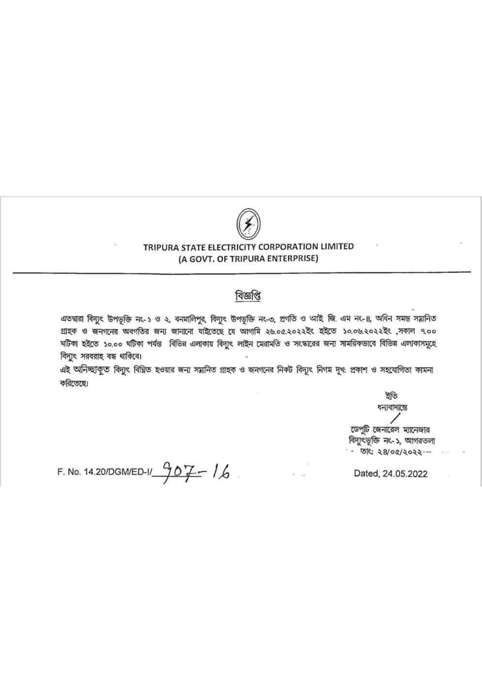

## TRIPURA STATE ELECTRICITY CORPORATION LIMITED (A GOVT. OF TRIPURA ENTERPRISE)

## বিজ্ঞপ্তি

এতদ্বারা বিদ্যুৎ উপভূক্তি নং-১ ও ২, বনমালিপুর, বিদ্যুৎ উপভূক্তি নং-৩, প্রগতি ও আই জি. এম নং-৪, অধিন সমস্ত সয়ানিত গ্রাহক ও জনগনের অবগতির জন্য জানানো যাইতেছে যে আগামি ২৬.০৫.২০২২ইং হইতে ১০.০৬.২০২২ইং ,সকাল ৭.০০ ঘটিকা হইতে ১০,০০ ঘটিকা পর্যন্ত বিভিন্ন এলাকায় বিদ্যুৎ লাইন মেরামতি ও সংস্কারের জন্য সাময়িকভাবে বিভিন্ন এলাকাসমূহে বিদ্যুৎ সরবরাহ বন্ধ থাকিবে।

এই অনিচ্ছাকূত বিদ্যুৎ বিঘ্নিত হওয়ার জন্য সমানিত গ্রাহক ও জনগনের নিকট বিদ্যুৎ নিগম দৃখ: প্রকাশ ও সহযোগিতা কামনা করিতেছে।

> ইতি ধন্যবাদান্তে

ডেপুটি জেনারেল ম্যানেজার বিদ্যুৎভূক্তি নং-১, আগরতলা - তাৎ: ২৪/০৫/২০২২ --

F. No. 14.20/DGM/ED-1/  $907 - 16$ 

Dated, 24.05.2022